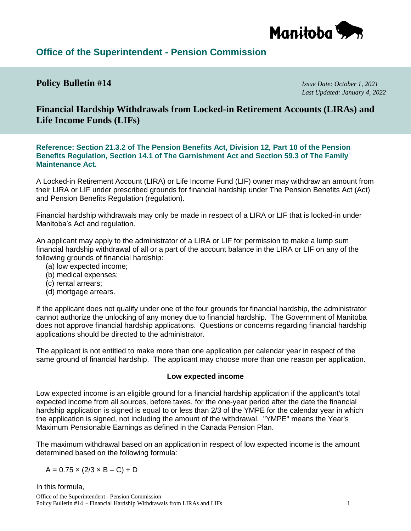

# **Office of the Superintendent - Pension Commission**

### **Policy Bulletin #14** *Issue Date: October 1, 2021*

*Last Updated: January 4, 2022*

**Financial Hardship Withdrawals from Locked-in Retirement Accounts (LIRAs) and Life Income Funds (LIFs)** 

**Reference: Section 21.3.2 of The Pension Benefits Act, Division 12, Part 10 of the Pension Benefits Regulation, Section 14.1 of The Garnishment Act and Section 59.3 of The Family Maintenance Act.**

A Locked-in Retirement Account (LIRA) or Life Income Fund (LIF) owner may withdraw an amount from their LIRA or LIF under prescribed grounds for financial hardship under The Pension Benefits Act (Act) and Pension Benefits Regulation (regulation).

Financial hardship withdrawals may only be made in respect of a LIRA or LIF that is locked-in under Manitoba's Act and regulation.

An applicant may apply to the administrator of a LIRA or LIF for permission to make a lump sum financial hardship withdrawal of all or a part of the account balance in the LIRA or LIF on any of the following grounds of financial hardship:

- (a) low expected income;
- (b) medical expenses;
- (c) rental arrears;
- (d) mortgage arrears.

If the applicant does not qualify under one of the four grounds for financial hardship, the administrator cannot authorize the unlocking of any money due to financial hardship. The Government of Manitoba does not approve financial hardship applications. Questions or concerns regarding financial hardship applications should be directed to the administrator.

The applicant is not entitled to make more than one application per calendar year in respect of the same ground of financial hardship. The applicant may choose more than one reason per application.

#### **Low expected income**

Low expected income is an eligible ground for a financial hardship application if the applicant's total expected income from all sources, before taxes, for the one-year period after the date the financial hardship application is signed is equal to or less than 2/3 of the YMPE for the calendar year in which the application is signed, not including the amount of the withdrawal. "YMPE" means the Year's Maximum Pensionable Earnings as defined in the Canada Pension Plan.

The maximum withdrawal based on an application in respect of low expected income is the amount determined based on the following formula:

$$
A = 0.75 \times (2/3 \times B - C) + D
$$

Office of the Superintendent - Pension Commission Policy Bulletin #14 ~ Financial Hardship Withdrawals from LIRAs and LIFs 1 In this formula,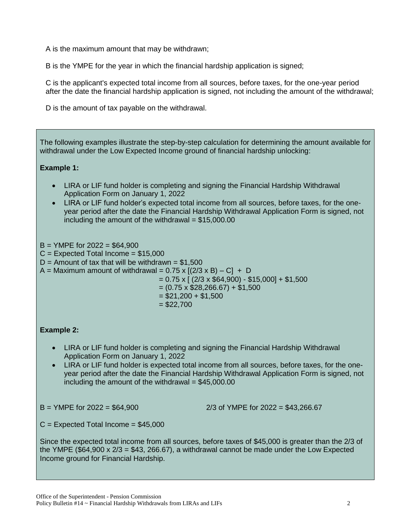A is the maximum amount that may be withdrawn;

B is the YMPE for the year in which the financial hardship application is signed;

C is the applicant's expected total income from all sources, before taxes, for the one-year period after the date the financial hardship application is signed, not including the amount of the withdrawal;

D is the amount of tax payable on the withdrawal.

| The following examples illustrate the step-by-step calculation for determining the amount available for<br>withdrawal under the Low Expected Income ground of financial hardship unlocking:                                                                                                                                                                                                       |
|---------------------------------------------------------------------------------------------------------------------------------------------------------------------------------------------------------------------------------------------------------------------------------------------------------------------------------------------------------------------------------------------------|
| <b>Example 1:</b>                                                                                                                                                                                                                                                                                                                                                                                 |
| LIRA or LIF fund holder is completing and signing the Financial Hardship Withdrawal<br>Application Form on January 1, 2022<br>LIRA or LIF fund holder's expected total income from all sources, before taxes, for the one-<br>$\bullet$<br>year period after the date the Financial Hardship Withdrawal Application Form is signed, not<br>including the amount of the withdrawal = $$15,000.00$  |
| $B = YMPE$ for 2022 = \$64,900<br>$C =$ Expected Total Income = \$15,000<br>D = Amount of tax that will be withdrawn = $$1,500$<br>A = Maximum amount of withdrawal = $0.75 \times [(2/3 \times B) - C] + D$<br>$= 0.75 \times [ (2/3 \times $64,900) - $15,000] + $1,500$<br>$= (0.75 \times $28,266.67) + $1,500$<br>$= $21,200 + $1,500$<br>$= $22,700$                                        |
| <b>Example 2:</b>                                                                                                                                                                                                                                                                                                                                                                                 |
| LIRA or LIF fund holder is completing and signing the Financial Hardship Withdrawal<br>$\bullet$<br>Application Form on January 1, 2022<br>LIRA or LIF fund holder is expected total income from all sources, before taxes, for the one-<br>year period after the date the Financial Hardship Withdrawal Application Form is signed, not<br>including the amount of the withdrawal = $$45,000.00$ |
| $B =$ YMPE for 2022 = \$64,900<br>2/3 of YMPE for $2022 = $43,266.67$                                                                                                                                                                                                                                                                                                                             |
| $C =$ Expected Total Income = \$45,000                                                                                                                                                                                                                                                                                                                                                            |
| Since the expected total income from all sources, before taxes of \$45,000 is greater than the 2/3 of<br>the YMPE (\$64,900 x $2/3$ = \$43, 266.67), a withdrawal cannot be made under the Low Expected<br>Income ground for Financial Hardship.                                                                                                                                                  |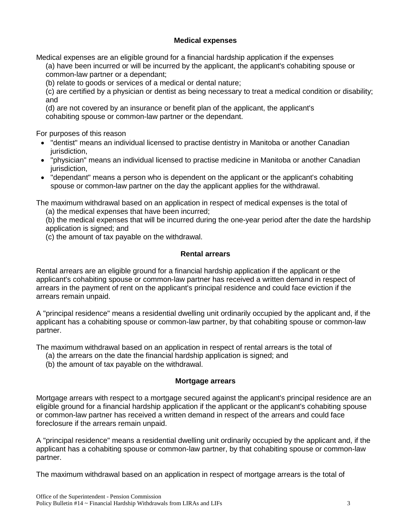### **Medical expenses**

Medical expenses are an eligible ground for a financial hardship application if the expenses

(a) have been incurred or will be incurred by the applicant, the applicant's cohabiting spouse or common-law partner or a dependant;

(b) relate to goods or services of a medical or dental nature;

(c) are certified by a physician or dentist as being necessary to treat a medical condition or disability; and

(d) are not covered by an insurance or benefit plan of the applicant, the applicant's cohabiting spouse or common-law partner or the dependant.

For purposes of this reason

- "dentist" means an individual licensed to practise dentistry in Manitoba or another Canadian jurisdiction,
- "physician" means an individual licensed to practise medicine in Manitoba or another Canadian jurisdiction,
- "dependant" means a person who is dependent on the applicant or the applicant's cohabiting spouse or common-law partner on the day the applicant applies for the withdrawal.

The maximum withdrawal based on an application in respect of medical expenses is the total of

(a) the medical expenses that have been incurred;

(b) the medical expenses that will be incurred during the one-year period after the date the hardship application is signed; and

(c) the amount of tax payable on the withdrawal.

# **Rental arrears**

Rental arrears are an eligible ground for a financial hardship application if the applicant or the applicant's cohabiting spouse or common-law partner has received a written demand in respect of arrears in the payment of rent on the applicant's principal residence and could face eviction if the arrears remain unpaid.

A "principal residence" means a residential dwelling unit ordinarily occupied by the applicant and, if the applicant has a cohabiting spouse or common-law partner, by that cohabiting spouse or common-law partner.

The maximum withdrawal based on an application in respect of rental arrears is the total of

- (a) the arrears on the date the financial hardship application is signed; and
- (b) the amount of tax payable on the withdrawal.

# **Mortgage arrears**

Mortgage arrears with respect to a mortgage secured against the applicant's principal residence are an eligible ground for a financial hardship application if the applicant or the applicant's cohabiting spouse or common-law partner has received a written demand in respect of the arrears and could face foreclosure if the arrears remain unpaid.

A "principal residence" means a residential dwelling unit ordinarily occupied by the applicant and, if the applicant has a cohabiting spouse or common-law partner, by that cohabiting spouse or common-law partner.

The maximum withdrawal based on an application in respect of mortgage arrears is the total of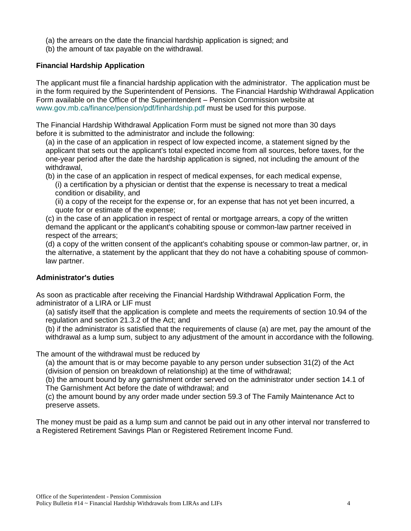- (a) the arrears on the date the financial hardship application is signed; and
- (b) the amount of tax payable on the withdrawal.

#### **Financial Hardship Application**

The applicant must file a financial hardship application with the administrator. The application must be in the form required by the Superintendent of Pensions. The Financial Hardship Withdrawal Application Form available on the Office of the Superintendent – Pension Commission website at [www.gov.mb.ca/finance/pension/pdf/finhardship.pdf](https://www.gov.mb.ca/finance/pension/pdf/finhardship.pdf) must be used for this purpose.

The Financial Hardship Withdrawal Application Form must be signed not more than 30 days before it is submitted to the administrator and include the following:

(a) in the case of an application in respect of low expected income, a statement signed by the applicant that sets out the applicant's total expected income from all sources, before taxes, for the one-year period after the date the hardship application is signed, not including the amount of the withdrawal,

(b) in the case of an application in respect of medical expenses, for each medical expense, (i) a certification by a physician or dentist that the expense is necessary to treat a medical

- condition or disability, and
- (ii) a copy of the receipt for the expense or, for an expense that has not yet been incurred, a quote for or estimate of the expense;
- (c) in the case of an application in respect of rental or mortgage arrears, a copy of the written demand the applicant or the applicant's cohabiting spouse or common-law partner received in respect of the arrears;

(d) a copy of the written consent of the applicant's cohabiting spouse or common-law partner, or, in the alternative, a statement by the applicant that they do not have a cohabiting spouse of commonlaw partner.

#### **Administrator's duties**

As soon as practicable after receiving the Financial Hardship Withdrawal Application Form, the administrator of a LIRA or LIF must

(a) satisfy itself that the application is complete and meets the requirements of section 10.94 of the regulation and section 21.3.2 of the Act; and

(b) if the administrator is satisfied that the requirements of clause (a) are met, pay the amount of the withdrawal as a lump sum, subject to any adjustment of the amount in accordance with the following.

The amount of the withdrawal must be reduced by

(a) the amount that is or may become payable to any person under subsection 31(2) of the Act (division of pension on breakdown of relationship) at the time of withdrawal;

(b) the amount bound by any garnishment order served on the administrator under section 14.1 of The Garnishment Act before the date of withdrawal; and

(c) the amount bound by any order made under section 59.3 of The Family Maintenance Act to preserve assets.

The money must be paid as a lump sum and cannot be paid out in any other interval nor transferred to a Registered Retirement Savings Plan or Registered Retirement Income Fund.